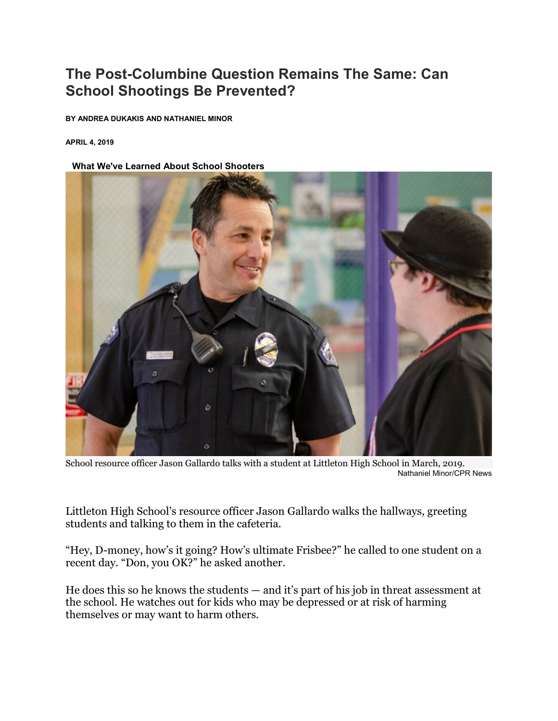## **The Post-Columbine Question Remains The Same: Can School Shootings Be Prevented?**

**BY ANDREA DUKAKIS AND NATHANIEL MINOR**

**APRIL 4, 2019**

## **[LIW](https://www.cpr.org/news/story/the-post-columbine-question-remains-the-same-how-can-school-shootings-be-prevented)hat We've Learned About School Shooters**



School resource officer Jason Gallardo talks with a student at Littleton High School in March, 2019. Nathaniel Minor/CPR News

Littleton High School's resource officer Jason Gallardo walks the hallways, greeting students and talking to them in the cafeteria.

"Hey, D-money, how's it going? How's ultimate Frisbee?" he called to one student on a recent day. "Don, you OK?" he asked another.

He does this so he knows the students — and it's part of his job in threat assessment at the school. He watches out for kids who may be depressed or at risk of harming themselves or may want to harm others.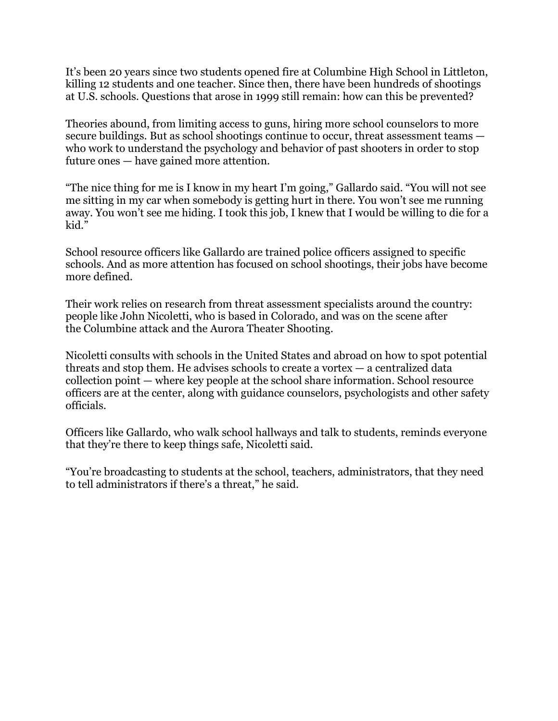It's been 20 years since two students opened fire at Columbine High School in Littleton, killing 12 students and one teacher. Since then, there have been [hundreds of shootings](https://www.washingtonpost.com/graphics/2018/local/school-shootings-database/?utm_term=.c630d07a7cae)  [at U.S. schools.](https://www.washingtonpost.com/graphics/2018/local/school-shootings-database/?utm_term=.c630d07a7cae) Questions that arose in 1999 still remain: how can this be prevented?

Theories abound, from limiting access to guns, hiring more school counselors to more secure buildings. But as school shootings continue to occur, threat assessment teams who work to understand the psychology and behavior of past shooters in order to stop future ones — have gained more attention.

"The nice thing for me is I know in my heart I'm going," Gallardo said. "You will not see me sitting in my car when somebody is getting hurt in there. You won't see me running away. You won't see me hiding. I took this job, I knew that I would be willing to die for a kid."

School resource officers like Gallardo are trained police officers assigned to specific schools. And as more attention has focused on school shootings, their jobs have become more defined.

Their work relies on research from threat assessment specialists around the country: people like John Nicoletti, who is based in Colorado, and was on the scene after the [Columbine attack](https://www.cpr.org/tags/columbine) and the [Aurora Theater Shooting.](https://www.cpr.org/tags/aurora-theater-shooting)

Nicoletti consults with schools in the United States and abroad on how to spot potential threats and stop them. He advises schools to create a vortex — a centralized data collection point — where key people at the school share information. School resource officers are at the center, along with guidance counselors, psychologists and other safety officials.

Officers like Gallardo, who walk school hallways and talk to students, reminds everyone that they're there to keep things safe, Nicoletti said.

"You're broadcasting to students at the school, teachers, administrators, that they need to tell administrators if there's a threat," he said.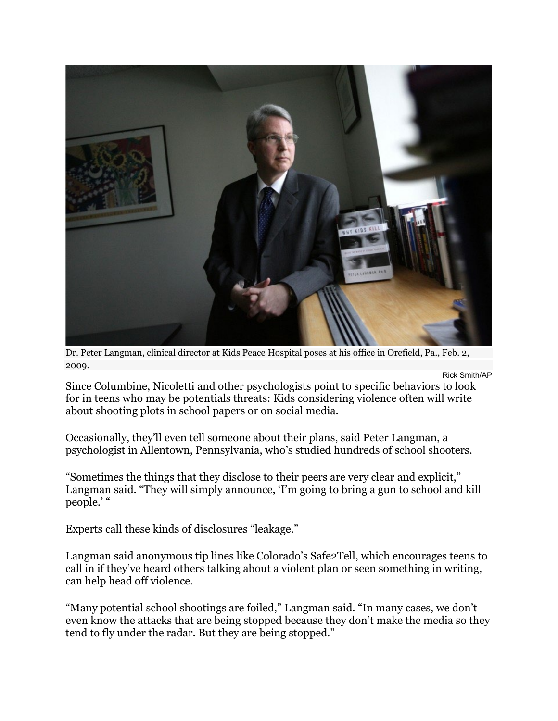

Dr. Peter Langman, clinical director at Kids Peace Hospital poses at his office in Orefield, Pa., Feb. 2, 2009.

Rick Smith/AP Since Columbine, Nicoletti and other psychologists point to specific behaviors to look for in teens who may be potentials threats: Kids considering violence often will write about shooting plots in school papers or on social media.

Occasionally, they'll even tell someone about their plans, said Peter Langman, a psychologist in Allentown, Pennsylvania, who's studied hundreds of school shooters.

"Sometimes the things that they disclose to their peers are very clear and explicit," Langman said. "They will simply announce, 'I'm going to bring a gun to school and kill people.'"

Experts call these kinds of disclosures "leakage."

Langman said anonymous tip lines [like Colorado's Safe2Tell,](https://www.cpr.org/news/story/new-director-appointed-for-colorados-safe2tell-program) which encourages teens to call in if they've heard others talking about a violent plan or seen something in writing, can help head off violence.

"Many potential school shootings are foiled," Langman said. "In many cases, we don't even know the attacks that are being stopped because they don't make the media so they tend to fly under the radar. But they are being stopped."